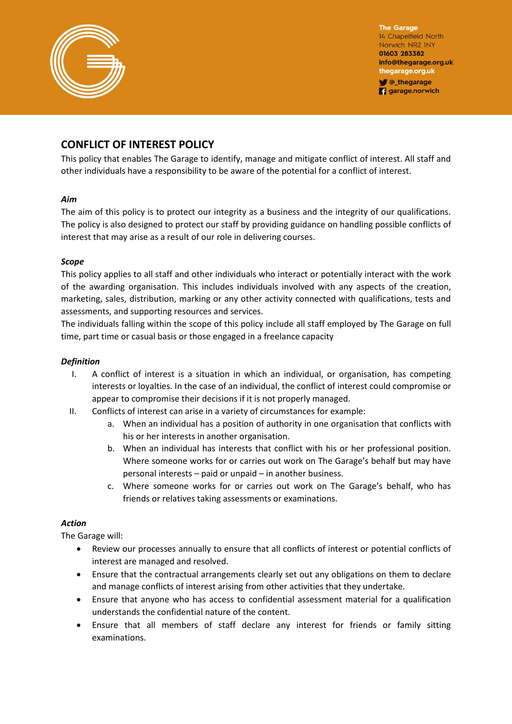![](_page_0_Picture_0.jpeg)

**The Garage** 14 Chapelfield North Norwich NR2 INY 01603 283382 info@thegarage.org.uk thegarage.org.uk **V** @\_thegarage **q** garage.norwich

# **CONFLICT OF INTEREST POLICY**

This policy that enables The Garage to identify, manage and mitigate conflict of interest. All staff and other individuals have a responsibility to be aware of the potential for a conflict of interest.

#### *Aim*

The aim of this policy is to protect our integrity as a business and the integrity of our qualifications. The policy is also designed to protect our staff by providing guidance on handling possible conflicts of interest that may arise as a result of our role in delivering courses.

## *Scope*

This policy applies to all staff and other individuals who interact or potentially interact with the work of the awarding organisation. This includes individuals involved with any aspects of the creation, marketing, sales, distribution, marking or any other activity connected with qualifications, tests and assessments, and supporting resources and services.

The individuals falling within the scope of this policy include all staff employed by The Garage on full time, part time or casual basis or those engaged in a freelance capacity

## *Definition*

- I. A conflict of interest is a situation in which an individual, or organisation, has competing interests or loyalties. In the case of an individual, the conflict of interest could compromise or appear to compromise their decisions if it is not properly managed.
- II. Conflicts of interest can arise in a variety of circumstances for example:
	- a. When an individual has a position of authority in one organisation that conflicts with his or her interests in another organisation.
	- b. When an individual has interests that conflict with his or her professional position. Where someone works for or carries out work on The Garage's behalf but may have personal interests – paid or unpaid – in another business.
	- c. Where someone works for or carries out work on The Garage's behalf, who has friends or relatives taking assessments or examinations.

## *Action*

The Garage will:

- Review our processes annually to ensure that all conflicts of interest or potential conflicts of interest are managed and resolved.
- Ensure that the contractual arrangements clearly set out any obligations on them to declare and manage conflicts of interest arising from other activities that they undertake.
- Ensure that anyone who has access to confidential assessment material for a qualification understands the confidential nature of the content.
- Ensure that all members of staff declare any interest for friends or family sitting examinations.